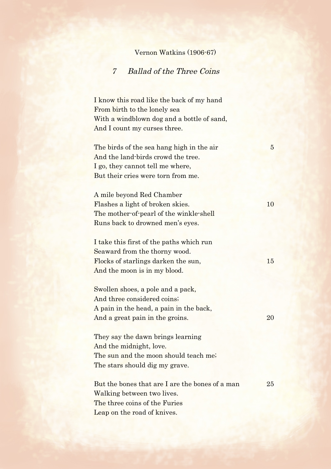## Vernon Watkins (1906-67)

## 7 Ballad of the Three Coins

I know this road like the back of my hand From birth to the lonely sea With a windblown dog and a bottle of sand, And I count my curses three.

The birds of the sea hang high in the air 5 And the land-birds crowd the tree. I go, they cannot tell me where, But their cries were torn from me.

A mile beyond Red Chamber Flashes a light of broken skies. 10 The mother-of-pearl of the winkle-shell Runs back to drowned men's eyes.

I take this first of the paths which run Seaward from the thorny wood. Flocks of starlings darken the sun, 15 And the moon is in my blood.

Swollen shoes, a pole and a pack, And three considered coins; A pain in the head, a pain in the back, And a great pain in the groins. 20

They say the dawn brings learning And the midnight, love. The sun and the moon should teach me; The stars should dig my grave.

But the bones that are I are the bones of a man 25 Walking between two lives. The three coins of the Furies Leap on the road of knives.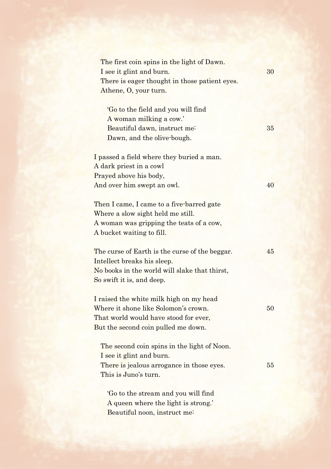| The first coin spins in the light of Dawn.     |    |
|------------------------------------------------|----|
| I see it glint and burn.                       | 30 |
| There is eager thought in those patient eyes.  |    |
| Athene, O, your turn.                          |    |
|                                                |    |
| 'Go to the field and you will find             |    |
| A woman milking a cow.'                        |    |
| Beautiful dawn, instruct me-                   | 35 |
| Dawn, and the olive-bough.                     |    |
| I passed a field where they buried a man.      |    |
| A dark priest in a cowl                        |    |
| Prayed above his body,                         |    |
| And over him swept an owl.                     | 40 |
|                                                |    |
| Then I came, I came to a five-barred gate      |    |
| Where a slow sight held me still.              |    |
| A woman was gripping the teats of a cow,       |    |
| A bucket waiting to fill.                      |    |
|                                                |    |
| The curse of Earth is the curse of the beggar. | 45 |
| Intellect breaks his sleep.                    |    |
| No books in the world will slake that thirst,  |    |
| So swift it is, and deep.                      |    |
| I raised the white milk high on my head        |    |
| Where it shone like Solomon's crown.           | 50 |
| That world would have stood for ever,          |    |
| But the second coin pulled me down.            |    |
|                                                |    |
| The second coin spins in the light of Noon.    |    |
| I see it glint and burn.                       |    |
| There is jealous arrogance in those eyes.      | 55 |
| This is Juno's turn.                           |    |
| 'Go to the stream and you will find            |    |
| A queen where the light is strong.'            |    |
| Beautiful noon, instruct me:                   |    |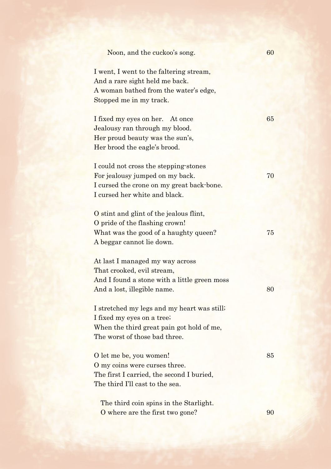| Noon, and the cuckoo's song.                                                                                                                            | 60 |
|---------------------------------------------------------------------------------------------------------------------------------------------------------|----|
| I went, I went to the faltering stream,<br>And a rare sight held me back.<br>A woman bathed from the water's edge,<br>Stopped me in my track.           |    |
| I fixed my eyes on her. At once<br>Jealousy ran through my blood.<br>Her proud beauty was the sun's,<br>Her brood the eagle's brood.                    | 65 |
| I could not cross the stepping stones<br>For jealousy jumped on my back.<br>I cursed the crone on my great back-bone.<br>I cursed her white and black.  | 70 |
| O stint and glint of the jealous flint,<br>O pride of the flashing crown!<br>What was the good of a haughty queen?<br>A beggar cannot lie down.         | 75 |
| At last I managed my way across<br>That crooked, evil stream,<br>And I found a stone with a little green moss<br>And a lost, illegible name.            | 80 |
| I stretched my legs and my heart was still.<br>I fixed my eyes on a tree;<br>When the third great pain got hold of me,<br>The worst of those bad three. |    |
| O let me be, you women!<br>O my coins were curses three.<br>The first I carried, the second I buried,<br>The third I'll cast to the sea.                | 85 |
| The third coin spins in the Starlight.<br>O where are the first two gone?                                                                               | 90 |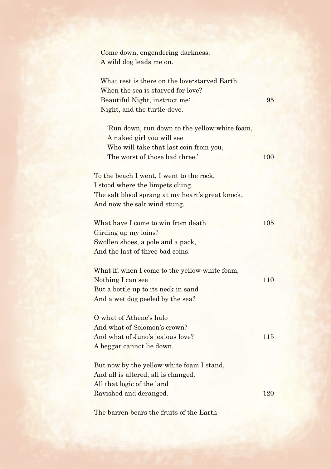Come down, engendering darkness. A wild dog leads me on.

What rest is there on the love-starved Earth When the sea is starved for love? Beautiful Night, instruct me: 95 Night, and the turtle-dove.

'Run down, run down to the yellow-white foam, A naked girl you will see Who will take that last coin from you, The worst of those bad three.' 100

To the beach I went, I went to the rock, I stood where the limpets clung. The salt blood sprang at my heart's great knock, And now the salt wind stung.

What have I come to win from death 105 Girding up my loins? Swollen shoes, a pole and a pack, And the last of three bad coins.

What if, when I come to the yellow-white foam, Nothing I can see 110 But a bottle up to its neck in sand And a wet dog peeled by the sea?

O what of Athene's halo And what of Solomon's crown? And what of Juno's jealous love? 115 A beggar cannot lie down.

But now by the yellow-white foam I stand, And all is altered, all is changed, All that logic of the land Ravished and deranged. 120

The barren bears the fruits of the Earth